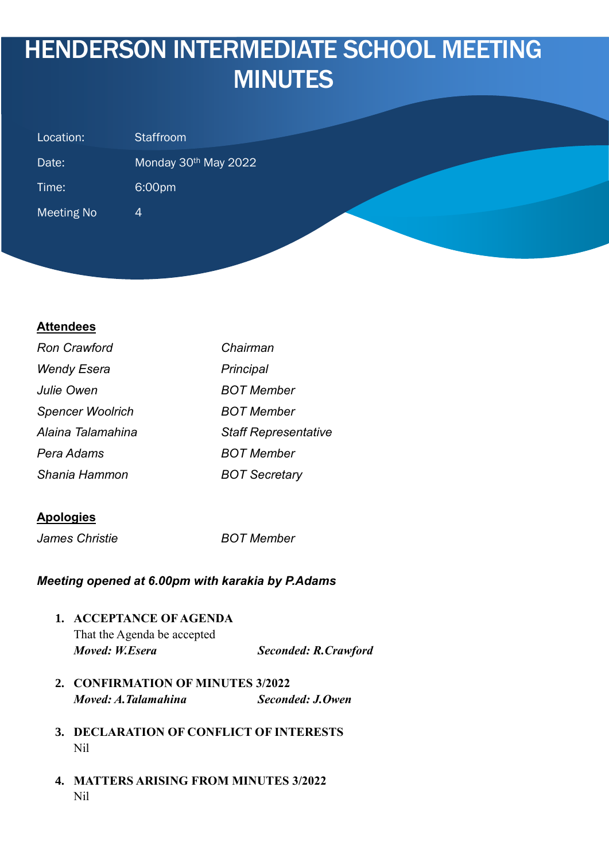# HENDERSON INTERMEDIATE SCHOOL MEETING **MINUTES**

| Staffroom<br>Location:              |                                  |
|-------------------------------------|----------------------------------|
| Date:                               | Monday 30 <sup>th</sup> May 2022 |
| 6:00pm<br>Time:                     |                                  |
| <b>Meeting No</b><br>$\overline{4}$ |                                  |
|                                     |                                  |

## **Attendees**

| <b>Ron Crawford</b>     | Chairman                    |
|-------------------------|-----------------------------|
| <b>Wendy Esera</b>      | Principal                   |
| Julie Owen              | <b>BOT Member</b>           |
| <b>Spencer Woolrich</b> | <b>BOT Member</b>           |
| Alaina Talamahina       | <b>Staff Representative</b> |
| Pera Adams              | BOT Member                  |
| Shania Hammon           | <b>BOT Secretary</b>        |

#### **Apologies**

*James Christie BOT Member*

#### *Meeting opened at 6.00pm with karakia by P.Adams*

- **1. ACCEPTANCE OF AGENDA** That the Agenda be accepted *Moved: W.Esera Seconded: R.Crawford*
- **2. CONFIRMATION OF MINUTES 3/2022** *Moved: A.Talamahina Seconded: J.Owen*
- **3. DECLARATION OF CONFLICT OF INTERESTS** Nil
- **4. MATTERS ARISING FROM MINUTES 3/2022** Nil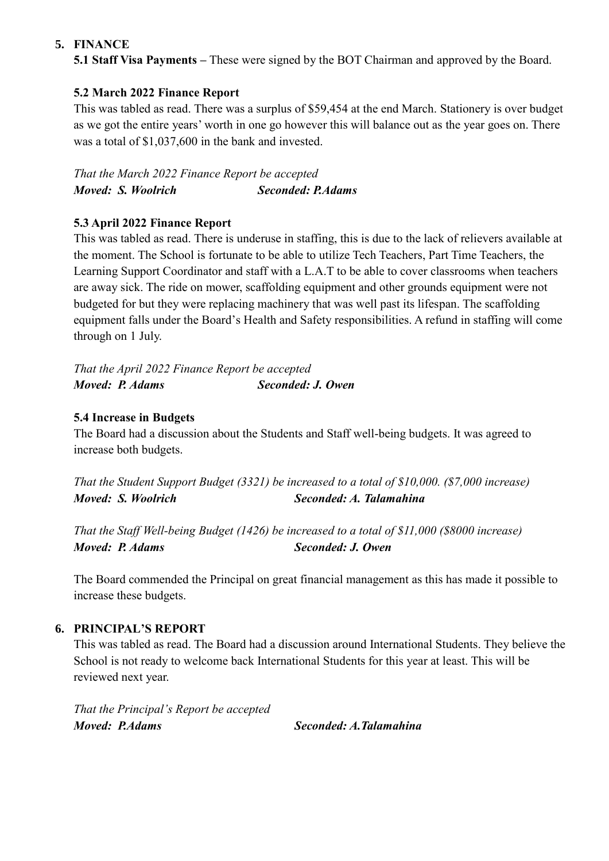## **5. FINANCE**

**5.1 Staff Visa Payments –** These were signed by the BOT Chairman and approved by the Board.

# **5.2 March 2022 Finance Report**

This was tabled as read. There was a surplus of \$59,454 at the end March. Stationery is over budget as we got the entire years' worth in one go however this will balance out as the year goes on. There was a total of \$1,037,600 in the bank and invested.

*That the March 2022 Finance Report be accepted Moved: S. Woolrich Seconded: P.Adams*

# **5.3 April 2022 Finance Report**

This was tabled as read. There is underuse in staffing, this is due to the lack of relievers available at the moment. The School is fortunate to be able to utilize Tech Teachers, Part Time Teachers, the Learning Support Coordinator and staff with a L.A.T to be able to cover classrooms when teachers are away sick. The ride on mower, scaffolding equipment and other grounds equipment were not budgeted for but they were replacing machinery that was well past its lifespan. The scaffolding equipment falls under the Board's Health and Safety responsibilities. A refund in staffing will come through on 1 July.

*That the April 2022 Finance Report be accepted Moved: P. Adams Seconded: J. Owen*

## **5.4 Increase in Budgets**

The Board had a discussion about the Students and Staff well-being budgets. It was agreed to increase both budgets.

*That the Student Support Budget (3321) be increased to a total of \$10,000. (\$7,000 increase) Moved: S. Woolrich Seconded: A. Talamahina*

*That the Staff Well-being Budget (1426) be increased to a total of \$11,000 (\$8000 increase) Moved: P. Adams Seconded: J. Owen*

The Board commended the Principal on great financial management as this has made it possible to increase these budgets.

# **6. PRINCIPAL'S REPORT**

This was tabled as read. The Board had a discussion around International Students. They believe the School is not ready to welcome back International Students for this year at least. This will be reviewed next year.

*That the Principal's Report be accepted Moved: P.Adams Seconded: A.Talamahina*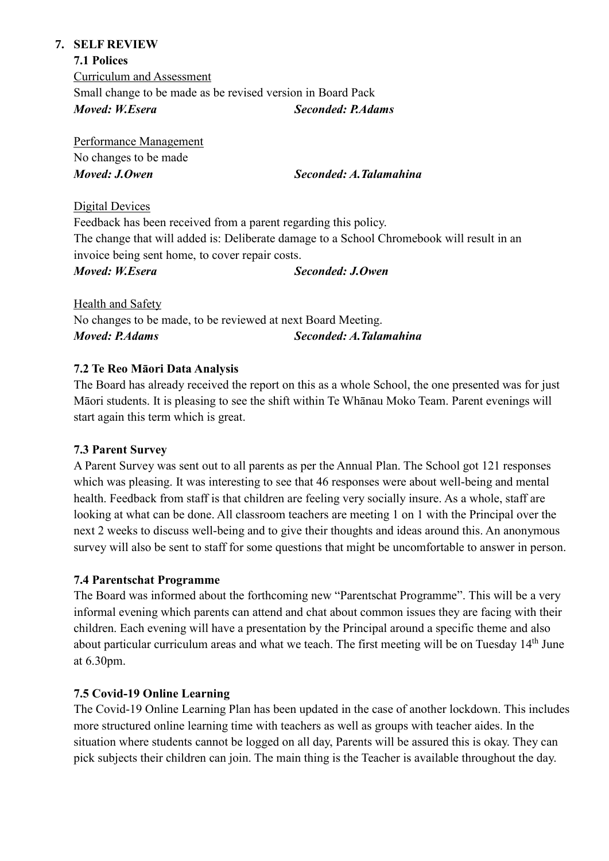#### **7. SELF REVIEW**

#### **7.1 Polices**

Curriculum and Assessment Small change to be made as be revised version in Board Pack *Moved: W.Esera Seconded: P.Adams*

Performance Management No changes to be made *Moved: J.Owen Seconded: A.Talamahina*

#### Digital Devices

Feedback has been received from a parent regarding this policy. The change that will added is: Deliberate damage to a School Chromebook will result in an invoice being sent home, to cover repair costs.

#### *Moved: W.Esera Seconded: J.Owen*

Health and Safety No changes to be made, to be reviewed at next Board Meeting. *Moved: P.Adams Seconded: A.Talamahina*

## **7.2 Te Reo Māori Data Analysis**

The Board has already received the report on this as a whole School, the one presented was for just Māori students. It is pleasing to see the shift within Te Whānau Moko Team. Parent evenings will start again this term which is great.

## **7.3 Parent Survey**

A Parent Survey was sent out to all parents as per the Annual Plan. The School got 121 responses which was pleasing. It was interesting to see that 46 responses were about well-being and mental health. Feedback from staff is that children are feeling very socially insure. As a whole, staff are looking at what can be done. All classroom teachers are meeting 1 on 1 with the Principal over the next 2 weeks to discuss well-being and to give their thoughts and ideas around this. An anonymous survey will also be sent to staff for some questions that might be uncomfortable to answer in person.

## **7.4 Parentschat Programme**

The Board was informed about the forthcoming new "Parentschat Programme". This will be a very informal evening which parents can attend and chat about common issues they are facing with their children. Each evening will have a presentation by the Principal around a specific theme and also about particular curriculum areas and what we teach. The first meeting will be on Tuesday 14<sup>th</sup> June at 6.30pm.

## **7.5 Covid-19 Online Learning**

The Covid-19 Online Learning Plan has been updated in the case of another lockdown. This includes more structured online learning time with teachers as well as groups with teacher aides. In the situation where students cannot be logged on all day, Parents will be assured this is okay. They can pick subjects their children can join. The main thing is the Teacher is available throughout the day.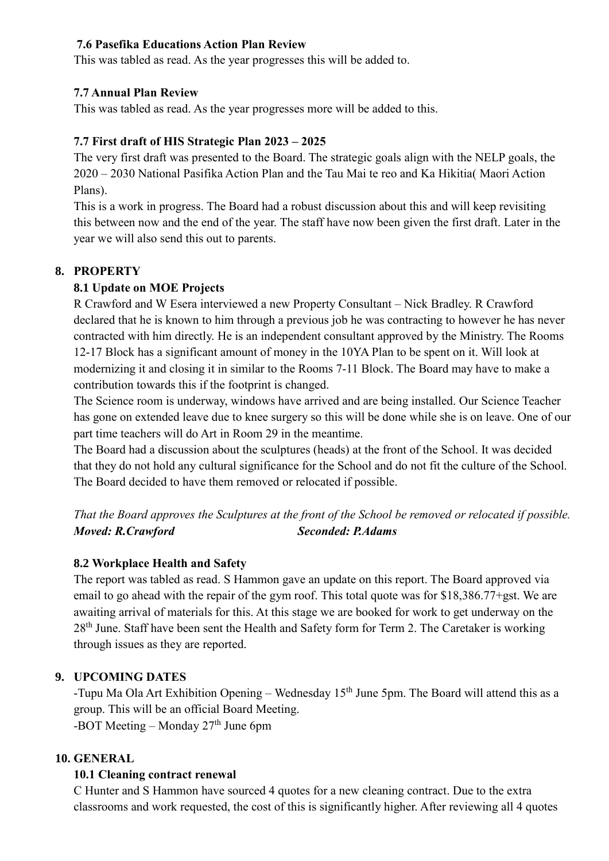#### **7.6 Pasefika Educations Action Plan Review**

This was tabled as read. As the year progresses this will be added to.

#### **7.7 Annual Plan Review**

This was tabled as read. As the year progresses more will be added to this.

#### **7.7 First draft of HIS Strategic Plan 2023 – 2025**

The very first draft was presented to the Board. The strategic goals align with the NELP goals, the 2020 – 2030 National Pasifika Action Plan and the Tau Mai te reo and Ka Hikitia( Maori Action Plans).

This is a work in progress. The Board had a robust discussion about this and will keep revisiting this between now and the end of the year. The staff have now been given the first draft. Later in the year we will also send this out to parents.

## **8. PROPERTY**

#### **8.1 Update on MOE Projects**

R Crawford and W Esera interviewed a new Property Consultant – Nick Bradley. R Crawford declared that he is known to him through a previous job he was contracting to however he has never contracted with him directly. He is an independent consultant approved by the Ministry. The Rooms 12-17 Block has a significant amount of money in the 10YA Plan to be spent on it. Will look at modernizing it and closing it in similar to the Rooms 7-11 Block. The Board may have to make a contribution towards this if the footprint is changed.

The Science room is underway, windows have arrived and are being installed. Our Science Teacher has gone on extended leave due to knee surgery so this will be done while she is on leave. One of our part time teachers will do Art in Room 29 in the meantime.

The Board had a discussion about the sculptures (heads) at the front of the School. It was decided that they do not hold any cultural significance for the School and do not fit the culture of the School. The Board decided to have them removed or relocated if possible.

*That the Board approves the Sculptures at the front of the School be removed or relocated if possible. Moved: R.Crawford Seconded: P.Adams*

## **8.2 Workplace Health and Safety**

The report was tabled as read. S Hammon gave an update on this report. The Board approved via email to go ahead with the repair of the gym roof. This total quote was for \$18,386.77+gst. We are awaiting arrival of materials for this. At this stage we are booked for work to get underway on the 28<sup>th</sup> June. Staff have been sent the Health and Safety form for Term 2. The Caretaker is working through issues as they are reported.

## **9. UPCOMING DATES**

-Tupu Ma Ola Art Exhibition Opening – Wednesday 15<sup>th</sup> June 5pm. The Board will attend this as a group. This will be an official Board Meeting. -BOT Meeting – Monday  $27<sup>th</sup>$  June 6pm

#### **10. GENERAL**

#### **10.1 Cleaning contract renewal**

C Hunter and S Hammon have sourced 4 quotes for a new cleaning contract. Due to the extra classrooms and work requested, the cost of this is significantly higher. After reviewing all 4 quotes